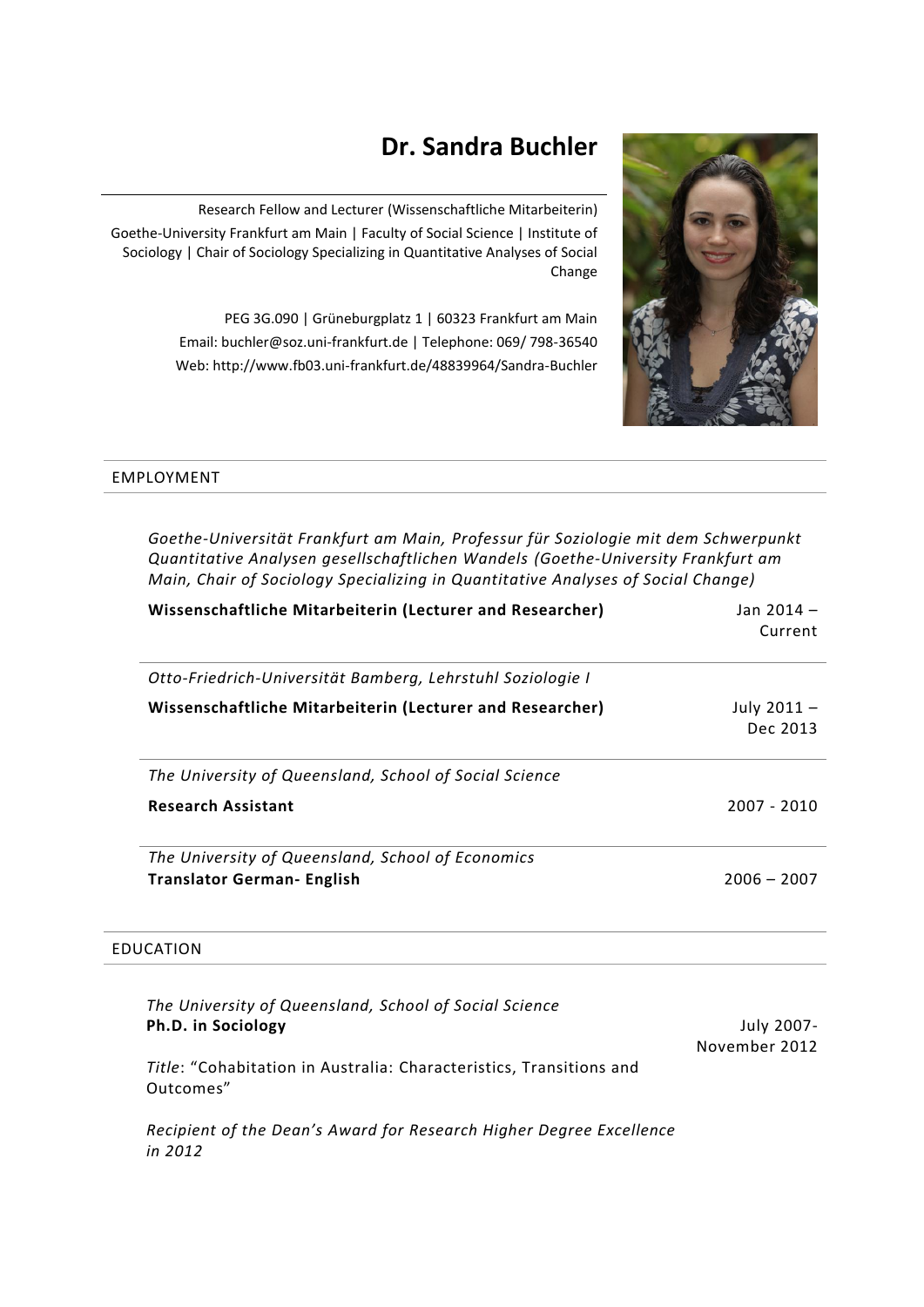# **Dr. Sandra Buchler**



Research Fellow and Lecturer (Wissenschaftliche Mitarbeiterin) Goethe-University Frankfurt am Main | Faculty of Social Science | Institute of Sociology | Chair of Sociology Specializing in Quantitative Analyses of Social Change

> PEG 3G.090 | Grüneburgplatz 1 | 60323 Frankfurt am Main Email: buchler@soz.uni-frankfurt.de | Telephone: 069/ 798-36540 Web: http://www.fb03.uni-frankfurt.de/48839964/Sandra-Buchler

## EMPLOYMENT

*Goethe-Universität Frankfurt am Main, Professur für Soziologie mit dem Schwerpunkt Quantitative Analysen gesellschaftlichen Wandels (Goethe-University Frankfurt am Main, Chair of Sociology Specializing in Quantitative Analyses of Social Change)*

| Wissenschaftliche Mitarbeiterin (Lecturer and Researcher)  | Jan 2014 -<br>Current   |
|------------------------------------------------------------|-------------------------|
| Otto-Friedrich-Universität Bamberg, Lehrstuhl Soziologie I |                         |
| Wissenschaftliche Mitarbeiterin (Lecturer and Researcher)  | July 2011 -<br>Dec 2013 |
| The University of Queensland, School of Social Science     |                         |
| <b>Research Assistant</b>                                  | $2007 - 2010$           |
| The University of Queensland, School of Economics          |                         |
| <b>Translator German- English</b>                          | $2006 - 2007$           |

## EDUCATION

| The University of Queensland, School of Social Science<br>Ph.D. in Sociology     | July 2007-<br>November 2012 |
|----------------------------------------------------------------------------------|-----------------------------|
| Title: "Cohabitation in Australia: Characteristics, Transitions and<br>Outcomes" |                             |
| Recipient of the Dean's Award for Research Higher Degree Excellence<br>in $2012$ |                             |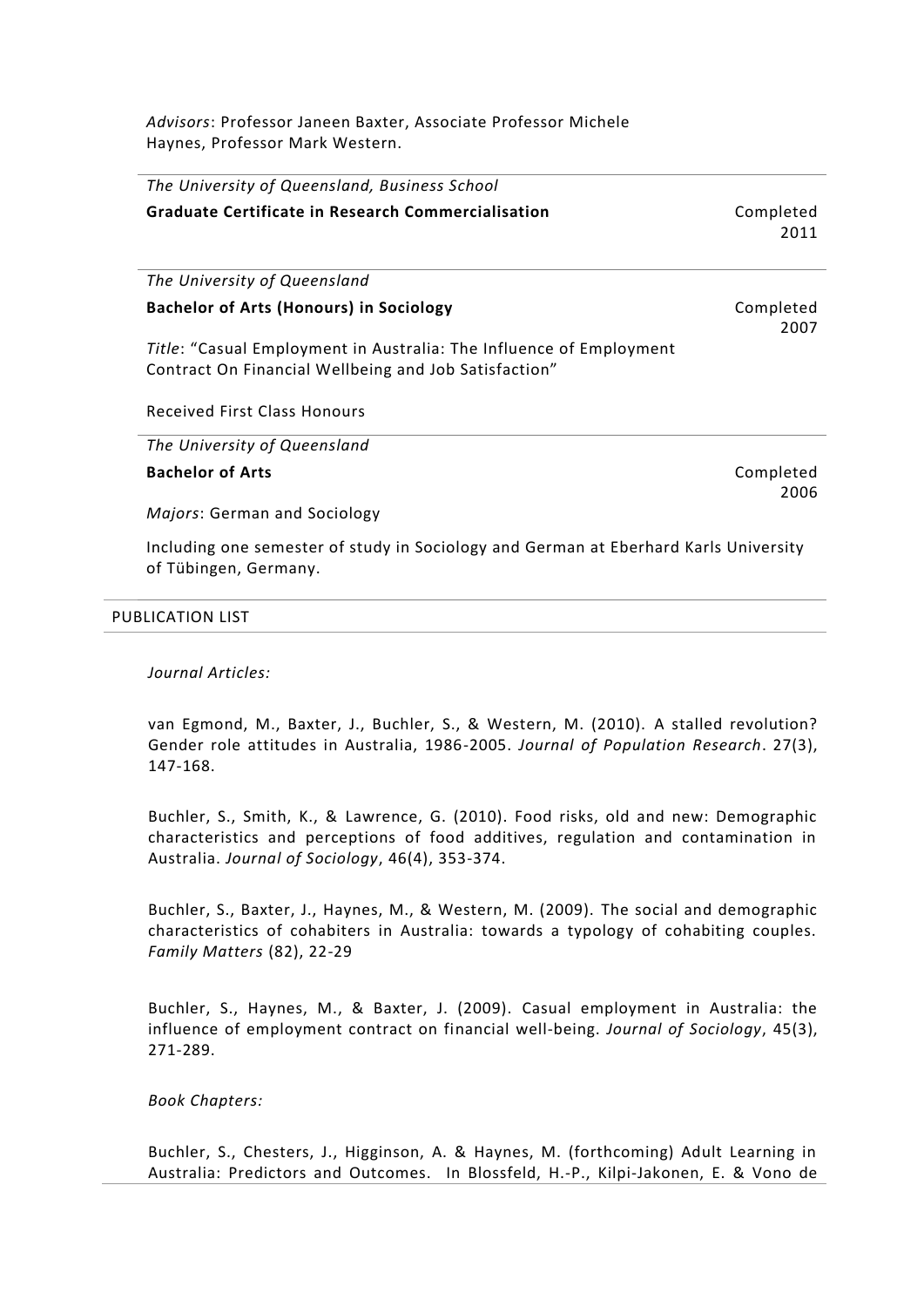*Advisors*: Professor Janeen Baxter, Associate Professor Michele Haynes, Professor Mark Western.

| The University of Queensland, Business School                                                                                |                   |
|------------------------------------------------------------------------------------------------------------------------------|-------------------|
| <b>Graduate Certificate in Research Commercialisation</b>                                                                    | Completed<br>2011 |
| The University of Queensland                                                                                                 |                   |
| <b>Bachelor of Arts (Honours) in Sociology</b>                                                                               | Completed<br>2007 |
| Title: "Casual Employment in Australia: The Influence of Employment<br>Contract On Financial Wellbeing and Job Satisfaction" |                   |
| <b>Received First Class Honours</b>                                                                                          |                   |
| The University of Queensland                                                                                                 |                   |
| <b>Bachelor of Arts</b>                                                                                                      | Completed<br>2006 |
| Majors: German and Sociology                                                                                                 |                   |
| Including one semester of study in Sociology and German at Eberhard Karls University<br>of Tübingen, Germany.                |                   |

#### PUBLICATION LIST

### *Journal Articles:*

van Egmond, M., Baxter, J., Buchler, S., & Western, M. (2010). A stalled revolution? Gender role attitudes in Australia, 1986-2005. *Journal of Population Research*. 27(3), 147-168.

Buchler, S., Smith, K., & Lawrence, G. (2010). Food risks, old and new: Demographic characteristics and perceptions of food additives, regulation and contamination in Australia. *Journal of Sociology*, 46(4), 353-374.

Buchler, S., Baxter, J., Haynes, M., & Western, M. (2009). The social and demographic characteristics of cohabiters in Australia: towards a typology of cohabiting couples. *Family Matters* (82), 22-29

Buchler, S., Haynes, M., & Baxter, J. (2009). Casual employment in Australia: the influence of employment contract on financial well-being. *Journal of Sociology*, 45(3), 271-289.

#### *Book Chapters:*

Buchler, S., Chesters, J., Higginson, A. & Haynes, M. (forthcoming) Adult Learning in Australia: Predictors and Outcomes. In Blossfeld, H.-P., Kilpi-Jakonen, E. & Vono de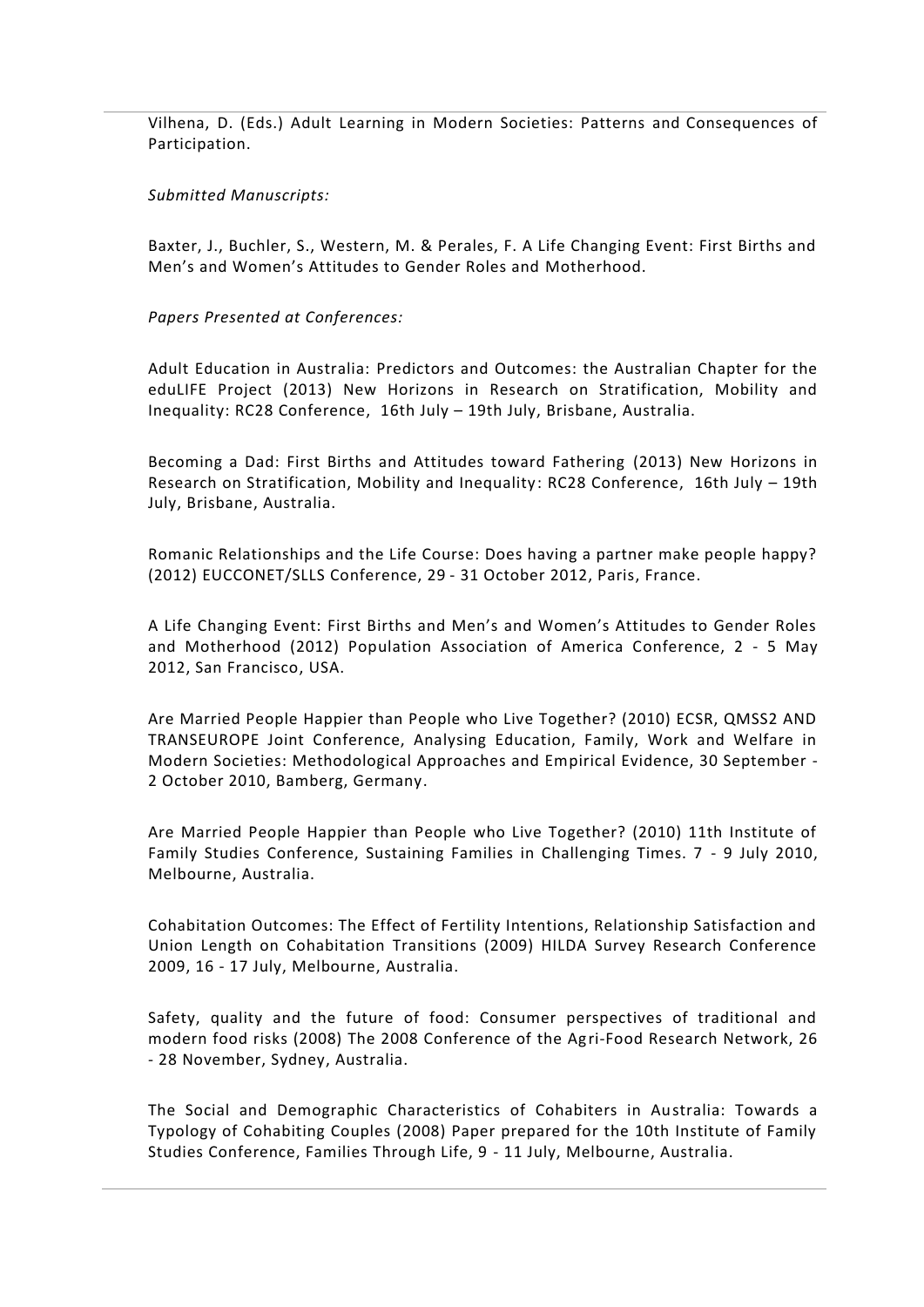Vilhena, D. (Eds.) Adult Learning in Modern Societies: Patterns and Consequences of Participation.

*Submitted Manuscripts:*

Baxter, J., Buchler, S., Western, M. & Perales, F. A Life Changing Event: First Births and Men's and Women's Attitudes to Gender Roles and Motherhood.

*Papers Presented at Conferences:*

Adult Education in Australia: Predictors and Outcomes: the Australian Chapter for the eduLIFE Project (2013) New Horizons in Research on Stratification, Mobility and Inequality: RC28 Conference, 16th July – 19th July, Brisbane, Australia.

Becoming a Dad: First Births and Attitudes toward Fathering (2013) New Horizons in Research on Stratification, Mobility and Inequality: RC28 Conference, 16th July – 19th July, Brisbane, Australia.

Romanic Relationships and the Life Course: Does having a partner make people happy? (2012) EUCCONET/SLLS Conference, 29 - 31 October 2012, Paris, France.

A Life Changing Event: First Births and Men's and Women's Attitudes to Gender Roles and Motherhood (2012) Population Association of America Conference, 2 - 5 May 2012, San Francisco, USA.

Are Married People Happier than People who Live Together? (2010) ECSR, QMSS2 AND TRANSEUROPE Joint Conference, Analysing Education, Family, Work and Welfare in Modern Societies: Methodological Approaches and Empirical Evidence, 30 September - 2 October 2010, Bamberg, Germany.

Are Married People Happier than People who Live Together? (2010) 11th Institute of Family Studies Conference, Sustaining Families in Challenging Times. 7 - 9 July 2010, Melbourne, Australia.

Cohabitation Outcomes: The Effect of Fertility Intentions, Relationship Satisfaction and Union Length on Cohabitation Transitions (2009) HILDA Survey Research Conference 2009, 16 - 17 July, Melbourne, Australia.

Safety, quality and the future of food: Consumer perspectives of traditional and modern food risks (2008) The 2008 Conference of the Agri-Food Research Network, 26 - 28 November, Sydney, Australia.

The Social and Demographic Characteristics of Cohabiters in Australia: Towards a Typology of Cohabiting Couples (2008) Paper prepared for the 10th Institute of Family Studies Conference, Families Through Life, 9 - 11 July, Melbourne, Australia.